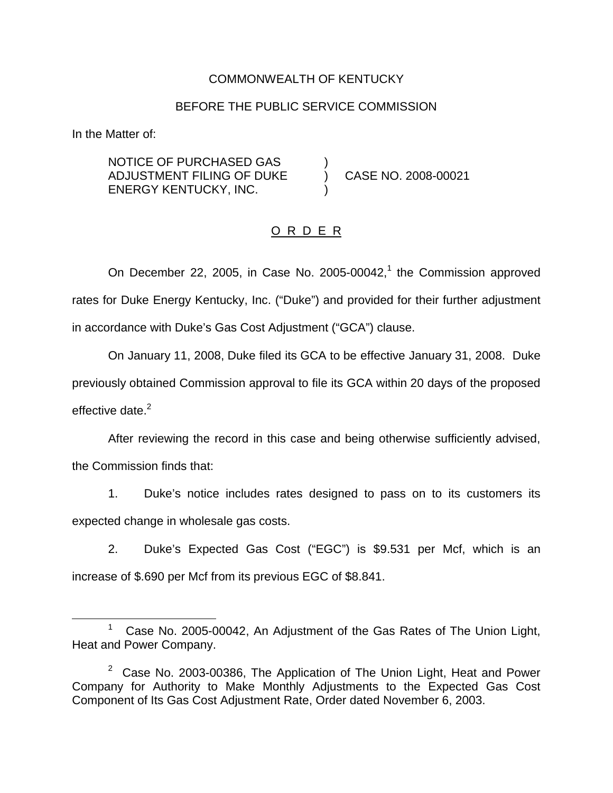### COMMONWEALTH OF KENTUCKY

#### BEFORE THE PUBLIC SERVICE COMMISSION

In the Matter of:

NOTICE OF PURCHASED GAS ) ADJUSTMENT FILING OF DUKE ) CASE NO. 2008-00021 ENERGY KENTUCKY, INC. )

### O R D E R

On December 22, 2005, in Case No. 2005-00042, $<sup>1</sup>$  the Commission approved</sup> rates for Duke Energy Kentucky, Inc. ("Duke") and provided for their further adjustment in accordance with Duke's Gas Cost Adjustment ("GCA") clause.

On January 11, 2008, Duke filed its GCA to be effective January 31, 2008. Duke previously obtained Commission approval to file its GCA within 20 days of the proposed effective date. $2$ 

After reviewing the record in this case and being otherwise sufficiently advised, the Commission finds that:

1. Duke's notice includes rates designed to pass on to its customers its expected change in wholesale gas costs.

2. Duke's Expected Gas Cost ("EGC") is \$9.531 per Mcf, which is an increase of \$.690 per Mcf from its previous EGC of \$8.841.

<sup>&</sup>lt;sup>1</sup> Case No. 2005-00042, An Adjustment of the Gas Rates of The Union Light, Heat and Power Company.

 $2$  Case No. 2003-00386, The Application of The Union Light, Heat and Power Company for Authority to Make Monthly Adjustments to the Expected Gas Cost Component of Its Gas Cost Adjustment Rate, Order dated November 6, 2003.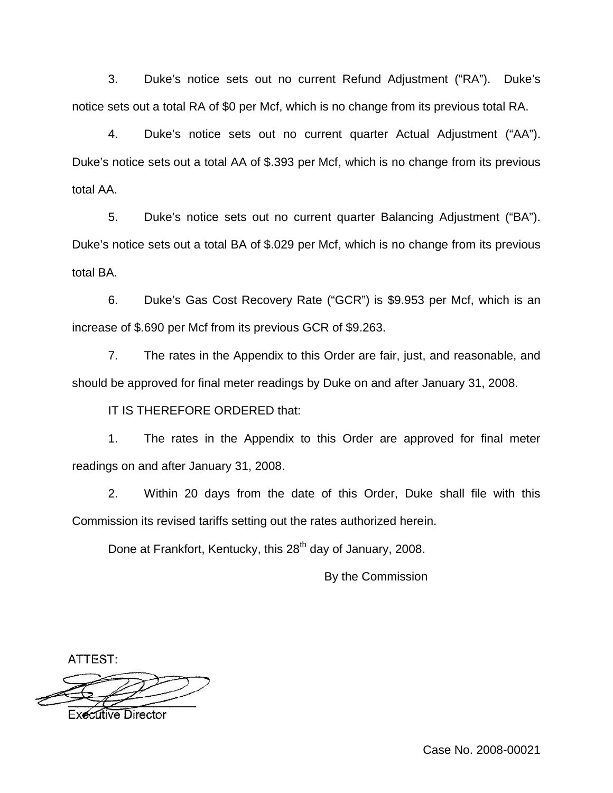3. Duke's notice sets out no current Refund Adjustment ("RA"). Duke's notice sets out a total RA of \$0 per Mcf, which is no change from its previous total RA.

4. Duke's notice sets out no current quarter Actual Adjustment ("AA"). Duke's notice sets out a total AA of \$.393 per Mcf, which is no change from its previous total AA.

5. Duke's notice sets out no current quarter Balancing Adjustment ("BA"). Duke's notice sets out a total BA of \$.029 per Mcf, which is no change from its previous total BA.

6. Duke's Gas Cost Recovery Rate ("GCR") is \$9.953 per Mcf, which is an increase of \$.690 per Mcf from its previous GCR of \$9.263.

7. The rates in the Appendix to this Order are fair, just, and reasonable, and should be approved for final meter readings by Duke on and after January 31, 2008.

IT IS THEREFORE ORDERED that:

1. The rates in the Appendix to this Order are approved for final meter readings on and after January 31, 2008.

2. Within 20 days from the date of this Order, Duke shall file with this Commission its revised tariffs setting out the rates authorized herein.

Done at Frankfort, Kentucky, this 28<sup>th</sup> day of January, 2008.

By the Commission

ATTEST:



Case No. 2008-00021